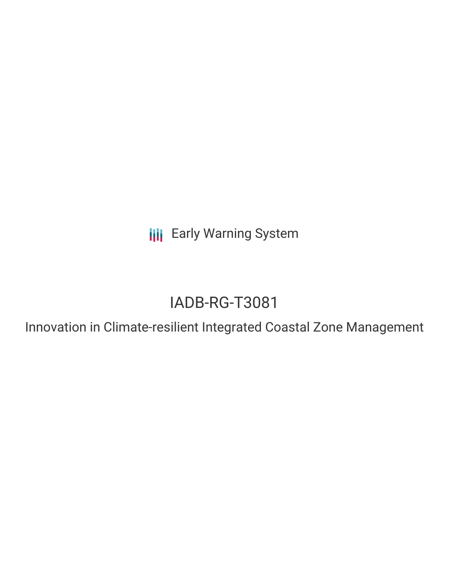**III** Early Warning System

# IADB-RG-T3081

Innovation in Climate-resilient Integrated Coastal Zone Management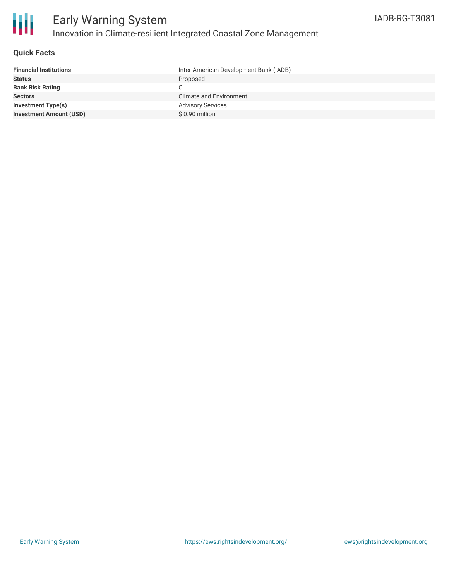

### **Quick Facts**

| <b>Financial Institutions</b>  | Inter-American Development Bank (IADB) |
|--------------------------------|----------------------------------------|
| <b>Status</b>                  | Proposed                               |
| <b>Bank Risk Rating</b>        |                                        |
| <b>Sectors</b>                 | Climate and Environment                |
| Investment Type(s)             | <b>Advisory Services</b>               |
| <b>Investment Amount (USD)</b> | $$0.90$ million                        |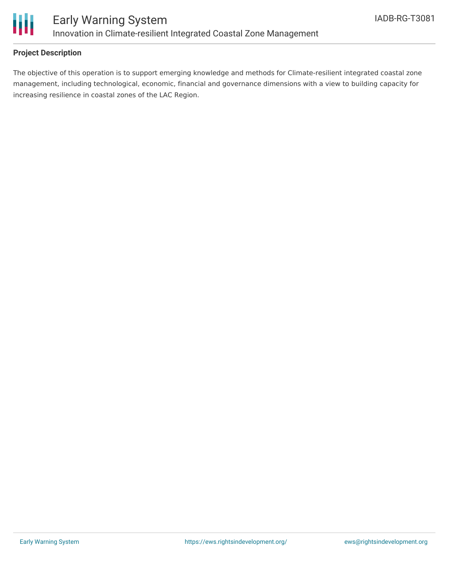

### **Project Description**

The objective of this operation is to support emerging knowledge and methods for Climate-resilient integrated coastal zone management, including technological, economic, financial and governance dimensions with a view to building capacity for increasing resilience in coastal zones of the LAC Region.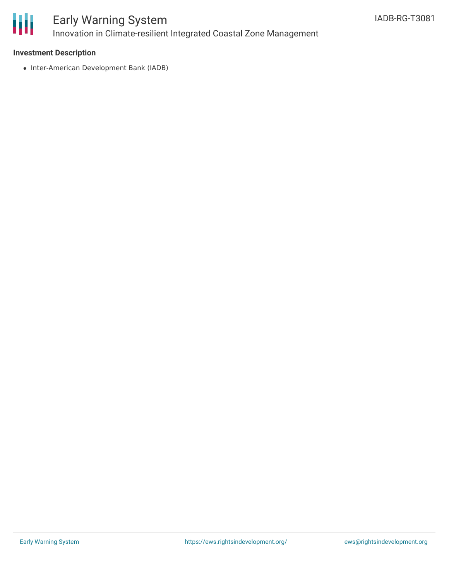

## Early Warning System Innovation in Climate-resilient Integrated Coastal Zone Management

### **Investment Description**

• Inter-American Development Bank (IADB)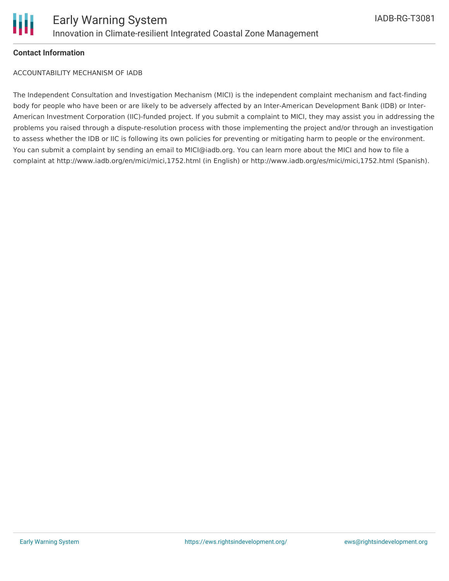### **Contact Information**

ACCOUNTABILITY MECHANISM OF IADB

The Independent Consultation and Investigation Mechanism (MICI) is the independent complaint mechanism and fact-finding body for people who have been or are likely to be adversely affected by an Inter-American Development Bank (IDB) or Inter-American Investment Corporation (IIC)-funded project. If you submit a complaint to MICI, they may assist you in addressing the problems you raised through a dispute-resolution process with those implementing the project and/or through an investigation to assess whether the IDB or IIC is following its own policies for preventing or mitigating harm to people or the environment. You can submit a complaint by sending an email to MICI@iadb.org. You can learn more about the MICI and how to file a complaint at http://www.iadb.org/en/mici/mici,1752.html (in English) or http://www.iadb.org/es/mici/mici,1752.html (Spanish).